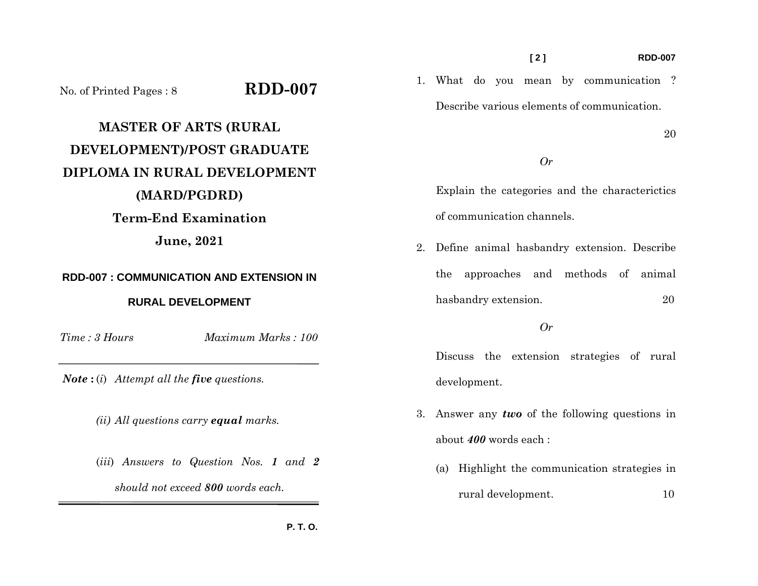### **[ 2 ] RDD-007**

1. What do you mean by communication ? Describe various elements of communication.

20

## *Or*

Explain the categories and the characterictics of communication channels.

2. Define animal hasbandry extension. Describe the approaches and methods of animal hasbandry extension. 20

## *Or*

Discuss the extension strategies of rural development.

- 3. Answer any *two* of the following questions in about *400* words each :
	- (a) Highlight the communication strategies in rural development. 10

No. of Printed Pages : 8 **RDD-007**

# **MASTER OF ARTS (RURAL DEVELOPMENT)/POST GRADUATE DIPLOMA IN RURAL DEVELOPMENT (MARD/PGDRD) Term-End Examination June, 2021**

## **RDD-007 : COMMUNICATION AND EXTENSION IN RURAL DEVELOPMENT**

*Time : 3 Hours*

*Maximum Marks : 100* 

*Note* **:** (*i*) *Attempt all the five questions.* 

 *(ii) All questions carry equal marks.* 

 (*iii*) *Answers to Question Nos. 1 and 2 should not exceed 800 words each.*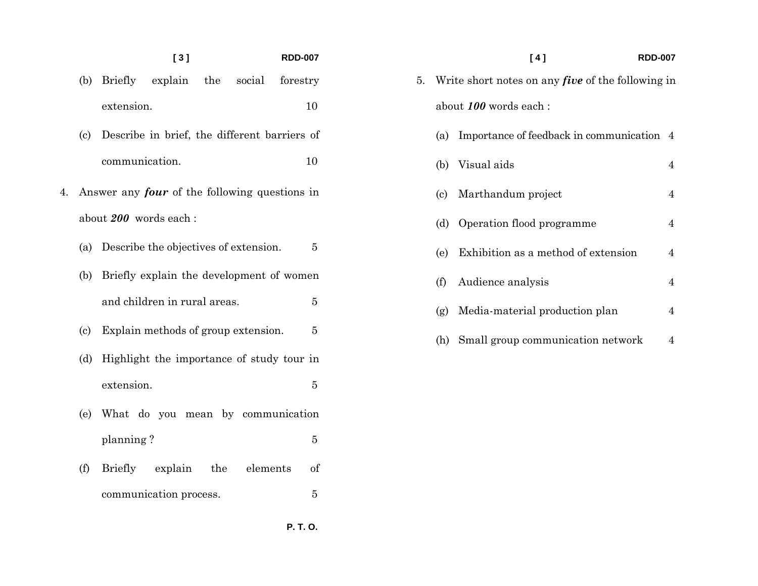## **[ 3 ] RDD-007**

- (b) Briefly explain the social forestry extension. 10
- (c) Describe in brief, the different barriers of communication. 10
- 4. Answer any *four* of the following questions in about *200* words each :
	- (a) Describe the objectives of extension. 5
	- (b) Briefly explain the development of women and children in rural areas. 5  $\bf 5$
	- (c) Explain methods of group extension. 5
	- (d) Highlight the importance of study tour in extension.  $\bf 5$
	- (e) What do you mean by communication planning ? 5
	- (f) Briefly explain the elements of communication process. 5

|    |                                                          | [4]<br><b>RDD-007</b>                     |                |  |  |  |
|----|----------------------------------------------------------|-------------------------------------------|----------------|--|--|--|
| 5. | Write short notes on any <i>five</i> of the following in |                                           |                |  |  |  |
|    | about 100 words each :                                   |                                           |                |  |  |  |
|    | (a)                                                      | Importance of feedback in communication 4 |                |  |  |  |
|    | (b)                                                      | Visual aids                               | $\overline{4}$ |  |  |  |
|    | (c)                                                      | Marthandum project                        | 4              |  |  |  |
|    | (d)                                                      | Operation flood programme                 | 4              |  |  |  |
|    | (e)                                                      | Exhibition as a method of extension       | $\overline{4}$ |  |  |  |
|    | (f)                                                      | Audience analysis                         | $\overline{4}$ |  |  |  |
|    | (g)                                                      | Media-material production plan            | $\overline{4}$ |  |  |  |
|    | (h)                                                      | Small group communication network         | 4              |  |  |  |

 **P. T. O.**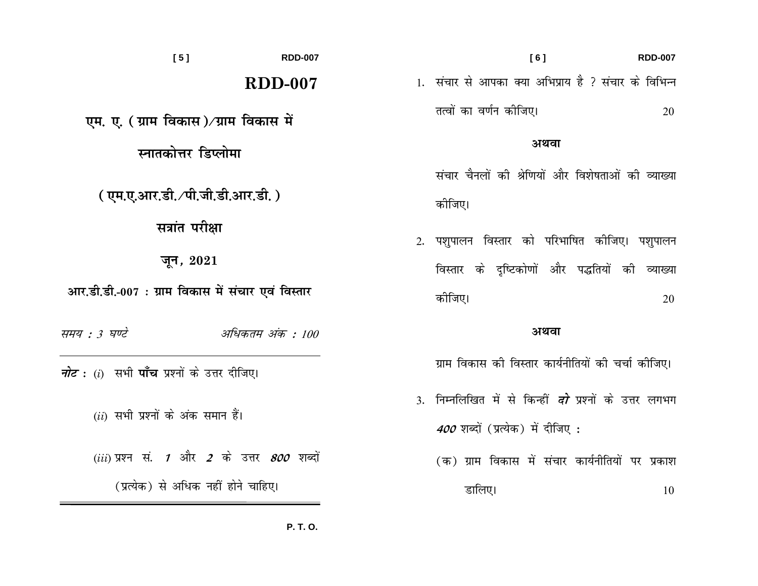| [5]<br><b>RDD-007</b>                                      | [6]                                                           | <b>RDD-007</b> |
|------------------------------------------------------------|---------------------------------------------------------------|----------------|
| $RDD-007$                                                  | 1. संचार से आपका क्या अभिप्राय है ? संचार के विभिन्न          |                |
| एम. ए. ( ग्राम विकास)⁄ग्राम विकास में                      | तत्वों का वर्णन कीजिए।                                        | 20             |
| स्नातकोत्तर डिप्लोमा                                       | अथवा                                                          |                |
|                                                            | संचार चैनलों की श्रेणियों और विशेषताओं की व्याख्या            |                |
| ( एम.ए.आर.डी. ⁄पी.जी.डी.आर.डी. )                           | कोजिए।                                                        |                |
| सत्रांत परीक्षा                                            | 2. पशुपालन विस्तार को परिभाषित कीजिए। पशुपालन                 |                |
| जून, $2021$                                                | विस्तार के दृष्टिकोणों और पद्धतियों की व्याख्या               |                |
| आर.डी.डी.-007 : ग्राम विकास में संचार एवं विस्तार          | कीजिए।                                                        | 20             |
| समय : 3 घण्टे<br>अधिकतम अंक : 100                          | अथवा                                                          |                |
| <i>नोट</i> : (i)  सभी <b>पाँच</b> प्रश्नों के उत्तर दीजिए। | ग्राम विकास की विस्तार कार्यनीतियों की चर्चा कीजिए।           |                |
|                                                            | 3. निम्नलिखित में से किन्हीं <i>दो</i> प्रश्नों के उत्तर लगभग |                |
| $(ii)$ सभी प्रश्नों के अंक समान हैं।                       | <i>400</i> शब्दों (प्रत्येक) में दीजिए :                      |                |
| $(iii)$ प्रश्न सं. 1 और 2 के उत्तर 800 शब्दों              | (क) ग्राम विकास में संचार कार्यनीतियों पर प्रकाश              |                |
| (प्रत्येक) से अधिक नहीं होने चाहिए।                        | डालिए।                                                        | 10             |

P. T. O.